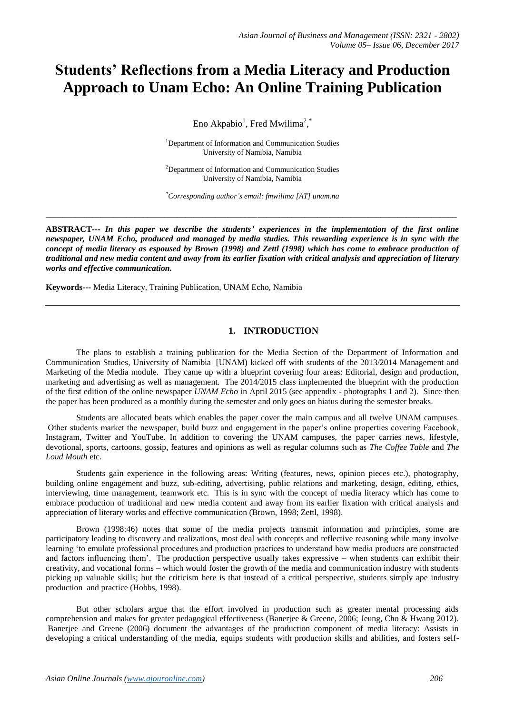# **Students' Reflections from a Media Literacy and Production Approach to Unam Echo: An Online Training Publication**

Eno Akpabio<sup>1</sup>, Fred Mwilima<sup>2</sup>,

<sup>1</sup>Department of Information and Communication Studies University of Namibia, Namibia

<sup>2</sup>Department of Information and Communication Studies University of Namibia, Namibia

*\*Corresponding author's email: fmwilima [AT] unam.na*

\_\_\_\_\_\_\_\_\_\_\_\_\_\_\_\_\_\_\_\_\_\_\_\_\_\_\_\_\_\_\_\_\_\_\_\_\_\_\_\_\_\_\_\_\_\_\_\_\_\_\_\_\_\_\_\_\_\_\_\_\_\_\_\_\_\_\_\_\_\_\_\_\_\_\_\_\_\_\_\_\_\_\_\_\_\_\_\_\_\_\_\_\_\_\_\_\_

**ABSTRACT---** *In this paper we describe the students' experiences in the implementation of the first online newspaper, UNAM Echo, produced and managed by media studies. This rewarding experience is in sync with the concept of media literacy as espoused by Brown (1998) and Zettl (1998) which has come to embrace production of traditional and new media content and away from its earlier fixation with critical analysis and appreciation of literary works and effective communication.* 

**Keywords---** Media Literacy, Training Publication, UNAM Echo, Namibia

## **1. INTRODUCTION**

The plans to establish a training publication for the Media Section of the Department of Information and Communication Studies, University of Namibia [UNAM) kicked off with students of the 2013/2014 Management and Marketing of the Media module. They came up with a blueprint covering four areas: Editorial, design and production, marketing and advertising as well as management. The 2014/2015 class implemented the blueprint with the production of the first edition of the online newspaper *UNAM Echo* in April 2015 (see appendix - photographs 1 and 2). Since then the paper has been produced as a monthly during the semester and only goes on hiatus during the semester breaks.

Students are allocated beats which enables the paper cover the main campus and all twelve UNAM campuses. Other students market the newspaper, build buzz and engagement in the paper's online properties covering Facebook, Instagram, Twitter and YouTube. In addition to covering the UNAM campuses, the paper carries news, lifestyle, devotional, sports, cartoons, gossip, features and opinions as well as regular columns such as *The Coffee Table* and *The Loud Mouth* etc.

Students gain experience in the following areas: Writing (features, news, opinion pieces etc.), photography, building online engagement and buzz, sub-editing, advertising, public relations and marketing, design, editing, ethics, interviewing, time management, teamwork etc. This is in sync with the concept of media literacy which has come to embrace production of traditional and new media content and away from its earlier fixation with critical analysis and appreciation of literary works and effective communication (Brown, 1998; Zettl, 1998).

Brown (1998:46) notes that some of the media projects transmit information and principles, some are participatory leading to discovery and realizations, most deal with concepts and reflective reasoning while many involve learning 'to emulate professional procedures and production practices to understand how media products are constructed and factors influencing them'. The production perspective usually takes expressive – when students can exhibit their creativity, and vocational forms – which would foster the growth of the media and communication industry with students picking up valuable skills; but the criticism here is that instead of a critical perspective, students simply ape industry production and practice (Hobbs, 1998).

But other scholars argue that the effort involved in production such as greater mental processing aids comprehension and makes for greater pedagogical effectiveness (Banerjee & Greene, 2006; Jeung, Cho & Hwang 2012). Banerjee and Greene (2006) document the advantages of the production component of media literacy: Assists in developing a critical understanding of the media, equips students with production skills and abilities, and fosters self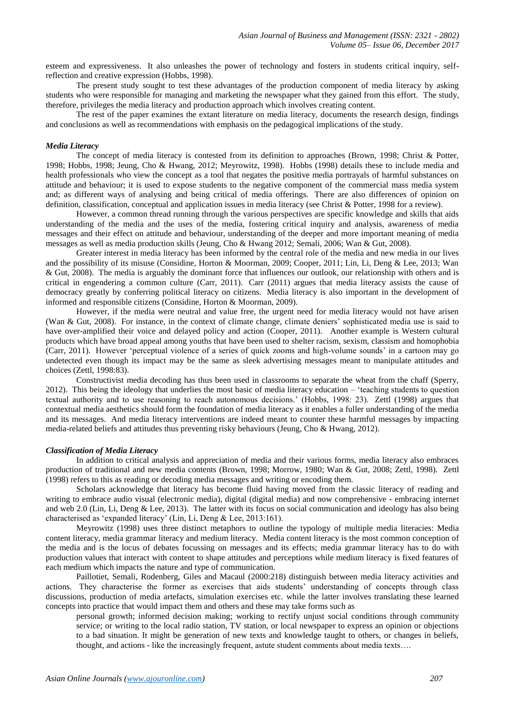esteem and expressiveness. It also unleashes the power of technology and fosters in students critical inquiry, selfreflection and creative expression (Hobbs, 1998).

The present study sought to test these advantages of the production component of media literacy by asking students who were responsible for managing and marketing the newspaper what they gained from this effort. The study, therefore, privileges the media literacy and production approach which involves creating content.

The rest of the paper examines the extant literature on media literacy, documents the research design, findings and conclusions as well as recommendations with emphasis on the pedagogical implications of the study.

#### *Media Literacy*

The concept of media literacy is contested from its definition to approaches (Brown, 1998; Christ & Potter, 1998; Hobbs, 1998; Jeung, Cho & Hwang, 2012; Meyrowitz, 1998). Hobbs (1998) details these to include media and health professionals who view the concept as a tool that negates the positive media portrayals of harmful substances on attitude and behaviour; it is used to expose students to the negative component of the commercial mass media system and; as different ways of analysing and being critical of media offerings. There are also differences of opinion on definition, classification, conceptual and application issues in media literacy (see Christ & Potter, 1998 for a review).

However, a common thread running through the various perspectives are specific knowledge and skills that aids understanding of the media and the uses of the media, fostering critical inquiry and analysis, awareness of media messages and their effect on attitude and behaviour, understanding of the deeper and more important meaning of media messages as well as media production skills (Jeung, Cho & Hwang 2012; Semali, 2006; Wan & Gut, 2008).

Greater interest in media literacy has been informed by the central role of the media and new media in our lives and the possibility of its misuse (Considine, Horton & Moorman, 2009; Cooper, 2011; Lin, Li, Deng & Lee, 2013; Wan & Gut, 2008). The media is arguably the dominant force that influences our outlook, our relationship with others and is critical in engendering a common culture (Carr, 2011). Carr (2011) argues that media literacy assists the cause of democracy greatly by conferring political literacy on citizens. Media literacy is also important in the development of informed and responsible citizens (Considine, Horton & Moorman, 2009).

However, if the media were neutral and value free, the urgent need for media literacy would not have arisen (Wan & Gut, 2008). For instance, in the context of climate change, climate deniers' sophisticated media use is said to have over-amplified their voice and delayed policy and action (Cooper, 2011). Another example is Western cultural products which have broad appeal among youths that have been used to shelter racism, sexism, classism and homophobia (Carr, 2011). However 'perceptual violence of a series of quick zooms and high-volume sounds' in a cartoon may go undetected even though its impact may be the same as sleek advertising messages meant to manipulate attitudes and choices (Zettl, 1998:83).

Constructivist media decoding has thus been used in classrooms to separate the wheat from the chaff (Sperry, 2012). This being the ideology that underlies the most basic of media literacy education – 'teaching students to question textual authority and to use reasoning to reach autonomous decisions.' (Hobbs, 1998: 23). Zettl (1998) argues that contextual media aesthetics should form the foundation of media literacy as it enables a fuller understanding of the media and its messages. And media literacy interventions are indeed meant to counter these harmful messages by impacting media-related beliefs and attitudes thus preventing risky behaviours (Jeung, Cho & Hwang, 2012).

#### *Classification of Media Literacy*

In addition to critical analysis and appreciation of media and their various forms, media literacy also embraces production of traditional and new media contents (Brown, 1998; Morrow, 1980; Wan & Gut, 2008; Zettl, 1998). Zettl (1998) refers to this as reading or decoding media messages and writing or encoding them.

Scholars acknowledge that literacy has become fluid having moved from the classic literacy of reading and writing to embrace audio visual (electronic media), digital (digital media) and now comprehensive - embracing internet and web 2.0 (Lin, Li, Deng & Lee, 2013). The latter with its focus on social communication and ideology has also being characterised as 'expanded literacy' (Lin, Li, Deng & Lee, 2013:161).

Meyrowitz (1998) uses three distinct metaphors to outline the typology of multiple media literacies: Media content literacy, media grammar literacy and medium literacy. Media content literacy is the most common conception of the media and is the locus of debates focussing on messages and its effects; media grammar literacy has to do with production values that interact with content to shape attitudes and perceptions while medium literacy is fixed features of each medium which impacts the nature and type of communication.

Paillotiet, Semali, Rodenberg, Giles and Macaul (2000:218) distinguish between media literacy activities and actions. They characterise the former as exercises that aids students' understanding of concepts through class discussions, production of media artefacts, simulation exercises etc. while the latter involves translating these learned concepts into practice that would impact them and others and these may take forms such as

personal growth; informed decision making; working to rectify unjust social conditions through community service; or writing to the local radio station, TV station, or local newspaper to express an opinion or objections to a bad situation. It might be generation of new texts and knowledge taught to others, or changes in beliefs, thought, and actions - like the increasingly frequent, astute student comments about media texts….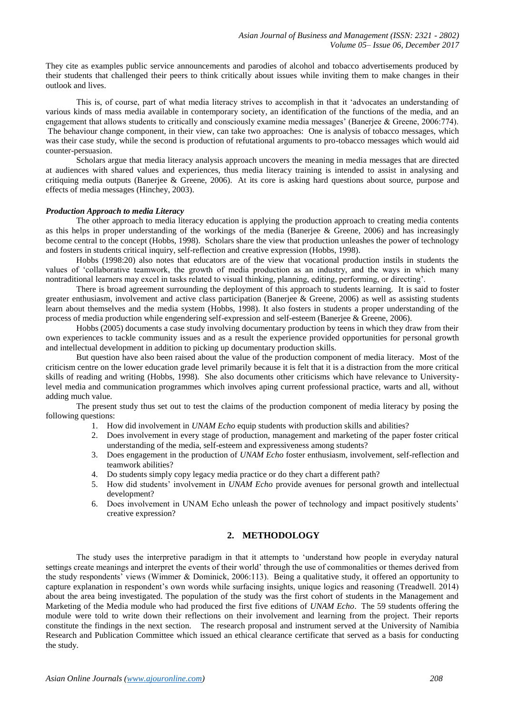They cite as examples public service announcements and parodies of alcohol and tobacco advertisements produced by their students that challenged their peers to think critically about issues while inviting them to make changes in their outlook and lives.

This is, of course, part of what media literacy strives to accomplish in that it 'advocates an understanding of various kinds of mass media available in contemporary society, an identification of the functions of the media, and an engagement that allows students to critically and consciously examine media messages' (Banerjee & Greene, 2006:774). The behaviour change component, in their view, can take two approaches: One is analysis of tobacco messages, which was their case study, while the second is production of refutational arguments to pro-tobacco messages which would aid counter-persuasion.

Scholars argue that media literacy analysis approach uncovers the meaning in media messages that are directed at audiences with shared values and experiences, thus media literacy training is intended to assist in analysing and critiquing media outputs (Banerjee & Greene, 2006). At its core is asking hard questions about source, purpose and effects of media messages (Hinchey, 2003).

#### *Production Approach to media Literacy*

The other approach to media literacy education is applying the production approach to creating media contents as this helps in proper understanding of the workings of the media (Banerjee & Greene, 2006) and has increasingly become central to the concept (Hobbs, 1998). Scholars share the view that production unleashes the power of technology and fosters in students critical inquiry, self-reflection and creative expression (Hobbs, 1998).

Hobbs (1998:20) also notes that educators are of the view that vocational production instils in students the values of 'collaborative teamwork, the growth of media production as an industry, and the ways in which many nontraditional learners may excel in tasks related to visual thinking, planning, editing, performing, or directing'.

There is broad agreement surrounding the deployment of this approach to students learning. It is said to foster greater enthusiasm, involvement and active class participation (Banerjee & Greene, 2006) as well as assisting students learn about themselves and the media system (Hobbs, 1998). It also fosters in students a proper understanding of the process of media production while engendering self-expression and self-esteem (Banerjee & Greene, 2006).

Hobbs (2005) documents a case study involving documentary production by teens in which they draw from their own experiences to tackle community issues and as a result the experience provided opportunities for personal growth and intellectual development in addition to picking up documentary production skills.

But question have also been raised about the value of the production component of media literacy. Most of the criticism centre on the lower education grade level primarily because it is felt that it is a distraction from the more critical skills of reading and writing (Hobbs, 1998). She also documents other criticisms which have relevance to Universitylevel media and communication programmes which involves aping current professional practice, warts and all, without adding much value.

The present study thus set out to test the claims of the production component of media literacy by posing the following questions:

- 1. How did involvement in *UNAM Echo* equip students with production skills and abilities?
- 2. Does involvement in every stage of production, management and marketing of the paper foster critical understanding of the media, self-esteem and expressiveness among students?
- 3. Does engagement in the production of *UNAM Echo* foster enthusiasm, involvement, self-reflection and teamwork abilities?
- 4. Do students simply copy legacy media practice or do they chart a different path?
- 5. How did students' involvement in *UNAM Echo* provide avenues for personal growth and intellectual development?
- 6. Does involvement in UNAM Echo unleash the power of technology and impact positively students' creative expression?

## **2. METHODOLOGY**

The study uses the interpretive paradigm in that it attempts to 'understand how people in everyday natural settings create meanings and interpret the events of their world' through the use of commonalities or themes derived from the study respondents' views (Wimmer & Dominick, 2006:113). Being a qualitative study, it offered an opportunity to capture explanation in respondent's own words while surfacing insights, unique logics and reasoning (Treadwell. 2014) about the area being investigated. The population of the study was the first cohort of students in the Management and Marketing of the Media module who had produced the first five editions of *UNAM Echo*. The 59 students offering the module were told to write down their reflections on their involvement and learning from the project. Their reports constitute the findings in the next section. The research proposal and instrument served at the University of Namibia Research and Publication Committee which issued an ethical clearance certificate that served as a basis for conducting the study.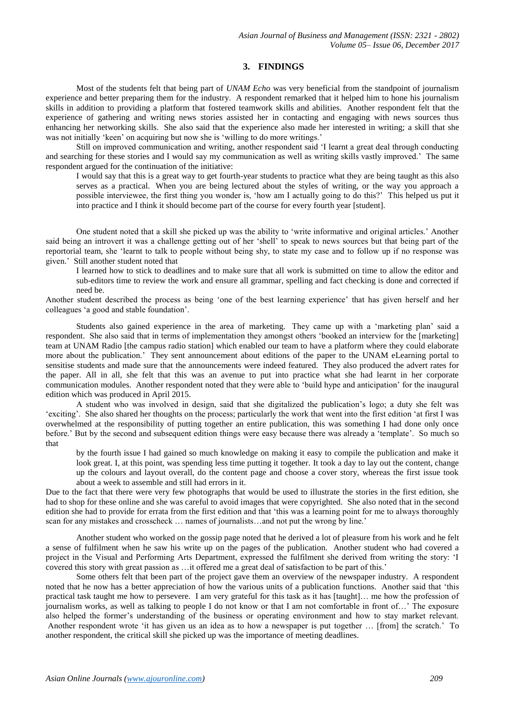## **3. FINDINGS**

Most of the students felt that being part of *UNAM Echo* was very beneficial from the standpoint of journalism experience and better preparing them for the industry. A respondent remarked that it helped him to hone his journalism skills in addition to providing a platform that fostered teamwork skills and abilities. Another respondent felt that the experience of gathering and writing news stories assisted her in contacting and engaging with news sources thus enhancing her networking skills. She also said that the experience also made her interested in writing; a skill that she was not initially 'keen' on acquiring but now she is 'willing to do more writings.'

Still on improved communication and writing, another respondent said 'I learnt a great deal through conducting and searching for these stories and I would say my communication as well as writing skills vastly improved.' The same respondent argued for the continuation of the initiative:

I would say that this is a great way to get fourth-year students to practice what they are being taught as this also serves as a practical. When you are being lectured about the styles of writing, or the way you approach a possible interviewee, the first thing you wonder is, 'how am I actually going to do this?' This helped us put it into practice and I think it should become part of the course for every fourth year [student].

One student noted that a skill she picked up was the ability to 'write informative and original articles.' Another said being an introvert it was a challenge getting out of her 'shell' to speak to news sources but that being part of the reportorial team, she 'learnt to talk to people without being shy, to state my case and to follow up if no response was given.' Still another student noted that

I learned how to stick to deadlines and to make sure that all work is submitted on time to allow the editor and sub-editors time to review the work and ensure all grammar, spelling and fact checking is done and corrected if need be.

Another student described the process as being 'one of the best learning experience' that has given herself and her colleagues 'a good and stable foundation'.

Students also gained experience in the area of marketing. They came up with a 'marketing plan' said a respondent. She also said that in terms of implementation they amongst others 'booked an interview for the [marketing] team at UNAM Radio [the campus radio station] which enabled our team to have a platform where they could elaborate more about the publication.' They sent announcement about editions of the paper to the UNAM eLearning portal to sensitise students and made sure that the announcements were indeed featured. They also produced the advert rates for the paper. All in all, she felt that this was an avenue to put into practice what she had learnt in her corporate communication modules. Another respondent noted that they were able to 'build hype and anticipation' for the inaugural edition which was produced in April 2015.

A student who was involved in design, said that she digitalized the publication's logo; a duty she felt was 'exciting'. She also shared her thoughts on the process; particularly the work that went into the first edition 'at first I was overwhelmed at the responsibility of putting together an entire publication, this was something I had done only once before.' But by the second and subsequent edition things were easy because there was already a 'template'. So much so that

by the fourth issue I had gained so much knowledge on making it easy to compile the publication and make it look great. I, at this point, was spending less time putting it together. It took a day to lay out the content, change up the colours and layout overall, do the content page and choose a cover story, whereas the first issue took about a week to assemble and still had errors in it.

Due to the fact that there were very few photographs that would be used to illustrate the stories in the first edition, she had to shop for these online and she was careful to avoid images that were copyrighted. She also noted that in the second edition she had to provide for errata from the first edition and that 'this was a learning point for me to always thoroughly scan for any mistakes and crosscheck … names of journalists…and not put the wrong by line.'

Another student who worked on the gossip page noted that he derived a lot of pleasure from his work and he felt a sense of fulfilment when he saw his write up on the pages of the publication. Another student who had covered a project in the Visual and Performing Arts Department, expressed the fulfilment she derived from writing the story: 'I covered this story with great passion as …it offered me a great deal of satisfaction to be part of this.'

Some others felt that been part of the project gave them an overview of the newspaper industry. A respondent noted that he now has a better appreciation of how the various units of a publication functions. Another said that 'this practical task taught me how to persevere. I am very grateful for this task as it has [taught]… me how the profession of journalism works, as well as talking to people I do not know or that I am not comfortable in front of…' The exposure also helped the former's understanding of the business or operating environment and how to stay market relevant. Another respondent wrote 'it has given us an idea as to how a newspaper is put together … [from] the scratch.' To another respondent, the critical skill she picked up was the importance of meeting deadlines.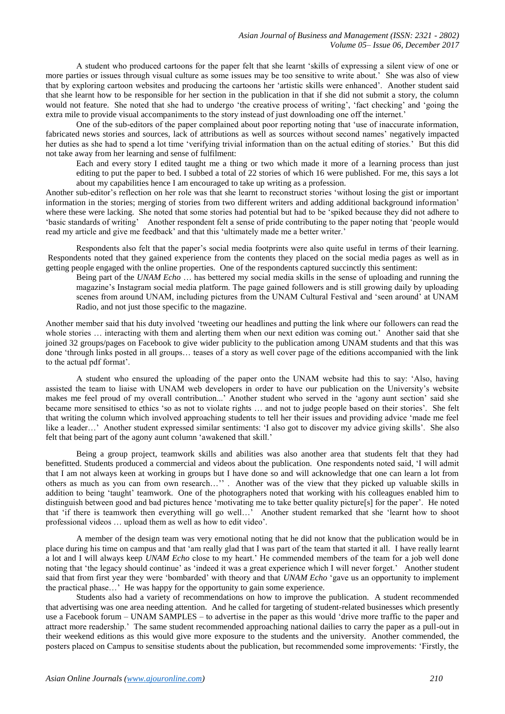A student who produced cartoons for the paper felt that she learnt 'skills of expressing a silent view of one or more parties or issues through visual culture as some issues may be too sensitive to write about.' She was also of view that by exploring cartoon websites and producing the cartoons her 'artistic skills were enhanced'. Another student said that she learnt how to be responsible for her section in the publication in that if she did not submit a story, the column would not feature. She noted that she had to undergo 'the creative process of writing', 'fact checking' and 'going the extra mile to provide visual accompaniments to the story instead of just downloading one off the internet.'

One of the sub-editors of the paper complained about poor reporting noting that 'use of inaccurate information, fabricated news stories and sources, lack of attributions as well as sources without second names' negatively impacted her duties as she had to spend a lot time 'verifying trivial information than on the actual editing of stories.' But this did not take away from her learning and sense of fulfilment:

Each and every story I edited taught me a thing or two which made it more of a learning process than just editing to put the paper to bed. I subbed a total of 22 stories of which 16 were published. For me, this says a lot about my capabilities hence I am encouraged to take up writing as a profession.

Another sub-editor's reflection on her role was that she learnt to reconstruct stories 'without losing the gist or important information in the stories; merging of stories from two different writers and adding additional background information' where these were lacking. She noted that some stories had potential but had to be 'spiked because they did not adhere to 'basic standards of writing' Another respondent felt a sense of pride contributing to the paper noting that 'people would read my article and give me feedback' and that this 'ultimately made me a better writer.'

Respondents also felt that the paper's social media footprints were also quite useful in terms of their learning. Respondents noted that they gained experience from the contents they placed on the social media pages as well as in getting people engaged with the online properties. One of the respondents captured succinctly this sentiment:

Being part of the *UNAM Echo* … has bettered my social media skills in the sense of uploading and running the magazine's Instagram social media platform. The page gained followers and is still growing daily by uploading scenes from around UNAM, including pictures from the UNAM Cultural Festival and 'seen around' at UNAM Radio, and not just those specific to the magazine.

Another member said that his duty involved 'tweeting our headlines and putting the link where our followers can read the whole stories ... interacting with them and alerting them when our next edition was coming out.' Another said that she joined 32 groups/pages on Facebook to give wider publicity to the publication among UNAM students and that this was done 'through links posted in all groups… teases of a story as well cover page of the editions accompanied with the link to the actual pdf format'.

A student who ensured the uploading of the paper onto the UNAM website had this to say: 'Also, having assisted the team to liaise with UNAM web developers in order to have our publication on the University's website makes me feel proud of my overall contribution...' Another student who served in the 'agony aunt section' said she became more sensitised to ethics 'so as not to violate rights … and not to judge people based on their stories'. She felt that writing the column which involved approaching students to tell her their issues and providing advice 'made me feel like a leader…' Another student expressed similar sentiments: 'I also got to discover my advice giving skills'. She also felt that being part of the agony aunt column 'awakened that skill.'

Being a group project, teamwork skills and abilities was also another area that students felt that they had benefitted. Students produced a commercial and videos about the publication. One respondents noted said, 'I will admit that I am not always keen at working in groups but I have done so and will acknowledge that one can learn a lot from others as much as you can from own research…'' . Another was of the view that they picked up valuable skills in addition to being 'taught' teamwork. One of the photographers noted that working with his colleagues enabled him to distinguish between good and bad pictures hence 'motivating me to take better quality picture[s] for the paper'. He noted that 'if there is teamwork then everything will go well…' Another student remarked that she 'learnt how to shoot professional videos … upload them as well as how to edit video'.

A member of the design team was very emotional noting that he did not know that the publication would be in place during his time on campus and that 'am really glad that I was part of the team that started it all. I have really learnt a lot and I will always keep *UNAM Echo* close to my heart.' He commended members of the team for a job well done noting that 'the legacy should continue' as 'indeed it was a great experience which I will never forget.' Another student said that from first year they were 'bombarded' with theory and that *UNAM Echo* 'gave us an opportunity to implement the practical phase…' He was happy for the opportunity to gain some experience.

Students also had a variety of recommendations on how to improve the publication. A student recommended that advertising was one area needing attention. And he called for targeting of student-related businesses which presently use a Facebook forum – UNAM SAMPLES – to advertise in the paper as this would 'drive more traffic to the paper and attract more readership.' The same student recommended approaching national dailies to carry the paper as a pull-out in their weekend editions as this would give more exposure to the students and the university. Another commended, the posters placed on Campus to sensitise students about the publication, but recommended some improvements: 'Firstly, the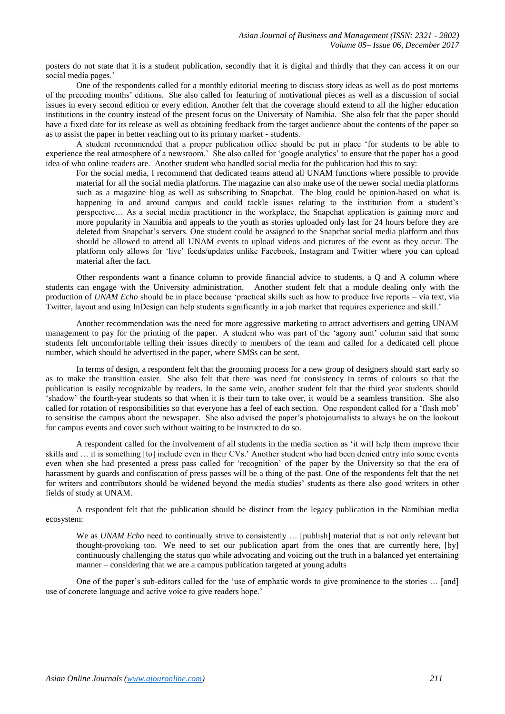posters do not state that it is a student publication, secondly that it is digital and thirdly that they can access it on our social media pages.'

One of the respondents called for a monthly editorial meeting to discuss story ideas as well as do post mortems of the preceding months' editions. She also called for featuring of motivational pieces as well as a discussion of social issues in every second edition or every edition. Another felt that the coverage should extend to all the higher education institutions in the country instead of the present focus on the University of Namibia. She also felt that the paper should have a fixed date for its release as well as obtaining feedback from the target audience about the contents of the paper so as to assist the paper in better reaching out to its primary market - students.

A student recommended that a proper publication office should be put in place 'for students to be able to experience the real atmosphere of a newsroom.' She also called for 'google analytics' to ensure that the paper has a good idea of who online readers are. Another student who handled social media for the publication had this to say:

For the social media, I recommend that dedicated teams attend all UNAM functions where possible to provide material for all the social media platforms. The magazine can also make use of the newer social media platforms such as a magazine blog as well as subscribing to Snapchat. The blog could be opinion-based on what is happening in and around campus and could tackle issues relating to the institution from a student's perspective… As a social media practitioner in the workplace, the Snapchat application is gaining more and more popularity in Namibia and appeals to the youth as stories uploaded only last for 24 hours before they are deleted from Snapchat's servers. One student could be assigned to the Snapchat social media platform and thus should be allowed to attend all UNAM events to upload videos and pictures of the event as they occur. The platform only allows for 'live' feeds/updates unlike Facebook, Instagram and Twitter where you can upload material after the fact.

Other respondents want a finance column to provide financial advice to students, a Q and A column where students can engage with the University administration. Another student felt that a module dealing only with the production of *UNAM Echo* should be in place because 'practical skills such as how to produce live reports – via text, via Twitter, layout and using InDesign can help students significantly in a job market that requires experience and skill.'

Another recommendation was the need for more aggressive marketing to attract advertisers and getting UNAM management to pay for the printing of the paper. A student who was part of the 'agony aunt' column said that some students felt uncomfortable telling their issues directly to members of the team and called for a dedicated cell phone number, which should be advertised in the paper, where SMSs can be sent.

In terms of design, a respondent felt that the grooming process for a new group of designers should start early so as to make the transition easier. She also felt that there was need for consistency in terms of colours so that the publication is easily recognizable by readers. In the same vein, another student felt that the third year students should 'shadow' the fourth-year students so that when it is their turn to take over, it would be a seamless transition. She also called for rotation of responsibilities so that everyone has a feel of each section. One respondent called for a 'flash mob' to sensitise the campus about the newspaper. She also advised the paper's photojournalists to always be on the lookout for campus events and cover such without waiting to be instructed to do so.

A respondent called for the involvement of all students in the media section as 'it will help them improve their skills and … it is something [to] include even in their CVs.' Another student who had been denied entry into some events even when she had presented a press pass called for 'recognition' of the paper by the University so that the era of harassment by guards and confiscation of press passes will be a thing of the past. One of the respondents felt that the net for writers and contributors should be widened beyond the media studies' students as there also good writers in other fields of study at UNAM.

A respondent felt that the publication should be distinct from the legacy publication in the Namibian media ecosystem:

We as *UNAM Echo* need to continually strive to consistently ... [publish] material that is not only relevant but thought-provoking too. We need to set our publication apart from the ones that are currently here, [by] continuously challenging the status quo while advocating and voicing out the truth in a balanced yet entertaining manner – considering that we are a campus publication targeted at young adults

One of the paper's sub-editors called for the 'use of emphatic words to give prominence to the stories … [and] use of concrete language and active voice to give readers hope.'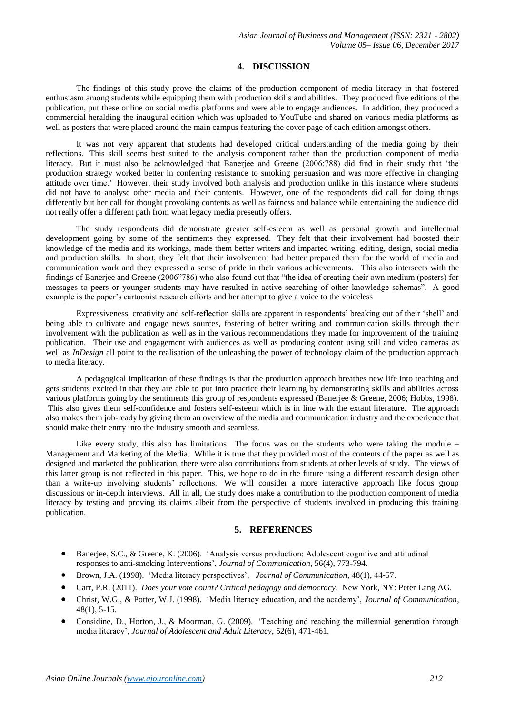### **4. DISCUSSION**

The findings of this study prove the claims of the production component of media literacy in that fostered enthusiasm among students while equipping them with production skills and abilities. They produced five editions of the publication, put these online on social media platforms and were able to engage audiences. In addition, they produced a commercial heralding the inaugural edition which was uploaded to YouTube and shared on various media platforms as well as posters that were placed around the main campus featuring the cover page of each edition amongst others.

It was not very apparent that students had developed critical understanding of the media going by their reflections. This skill seems best suited to the analysis component rather than the production component of media literacy. But it must also be acknowledged that Banerjee and Greene (2006:788) did find in their study that 'the production strategy worked better in conferring resistance to smoking persuasion and was more effective in changing attitude over time.' However, their study involved both analysis and production unlike in this instance where students did not have to analyse other media and their contents. However, one of the respondents did call for doing things differently but her call for thought provoking contents as well as fairness and balance while entertaining the audience did not really offer a different path from what legacy media presently offers.

The study respondents did demonstrate greater self-esteem as well as personal growth and intellectual development going by some of the sentiments they expressed. They felt that their involvement had boosted their knowledge of the media and its workings, made them better writers and imparted writing, editing, design, social media and production skills. In short, they felt that their involvement had better prepared them for the world of media and communication work and they expressed a sense of pride in their various achievements. This also intersects with the findings of Banerjee and Greene (2006"786) who also found out that "the idea of creating their own medium (posters) for messages to peers or younger students may have resulted in active searching of other knowledge schemas". A good example is the paper's cartoonist research efforts and her attempt to give a voice to the voiceless

Expressiveness, creativity and self-reflection skills are apparent in respondents' breaking out of their 'shell' and being able to cultivate and engage news sources, fostering of better writing and communication skills through their involvement with the publication as well as in the various recommendations they made for improvement of the training publication. Their use and engagement with audiences as well as producing content using still and video cameras as well as *InDesign* all point to the realisation of the unleashing the power of technology claim of the production approach to media literacy.

A pedagogical implication of these findings is that the production approach breathes new life into teaching and gets students excited in that they are able to put into practice their learning by demonstrating skills and abilities across various platforms going by the sentiments this group of respondents expressed (Banerjee & Greene, 2006; Hobbs, 1998). This also gives them self-confidence and fosters self-esteem which is in line with the extant literature. The approach also makes them job-ready by giving them an overview of the media and communication industry and the experience that should make their entry into the industry smooth and seamless.

Like every study, this also has limitations. The focus was on the students who were taking the module – Management and Marketing of the Media. While it is true that they provided most of the contents of the paper as well as designed and marketed the publication, there were also contributions from students at other levels of study. The views of this latter group is not reflected in this paper. This, we hope to do in the future using a different research design other than a write-up involving students' reflections. We will consider a more interactive approach like focus group discussions or in-depth interviews. All in all, the study does make a contribution to the production component of media literacy by testing and proving its claims albeit from the perspective of students involved in producing this training publication.

## **5. REFERENCES**

- Banerjee, S.C., & Greene, K. (2006). 'Analysis versus production: Adolescent cognitive and attitudinal responses to anti-smoking Interventions', *Journal of Communication*, 56(4), 773-794.
- Brown, J.A. (1998). 'Media literacy perspectives', *Journal of Communication*, 48(1), 44-57.
- Carr, P.R. (2011). *Does your vote count? Critical pedagogy and democracy*. New York, NY: Peter Lang AG.
- Christ, W.G., & Potter, W.J. (1998). 'Media literacy education, and the academy', *Journal of Communication*, 48(1), 5-15.
- Considine, D., Horton, J., & Moorman, G. (2009). 'Teaching and reaching the millennial generation through media literacy', *Journal of Adolescent and Adult Literacy*, 52(6), 471-461.